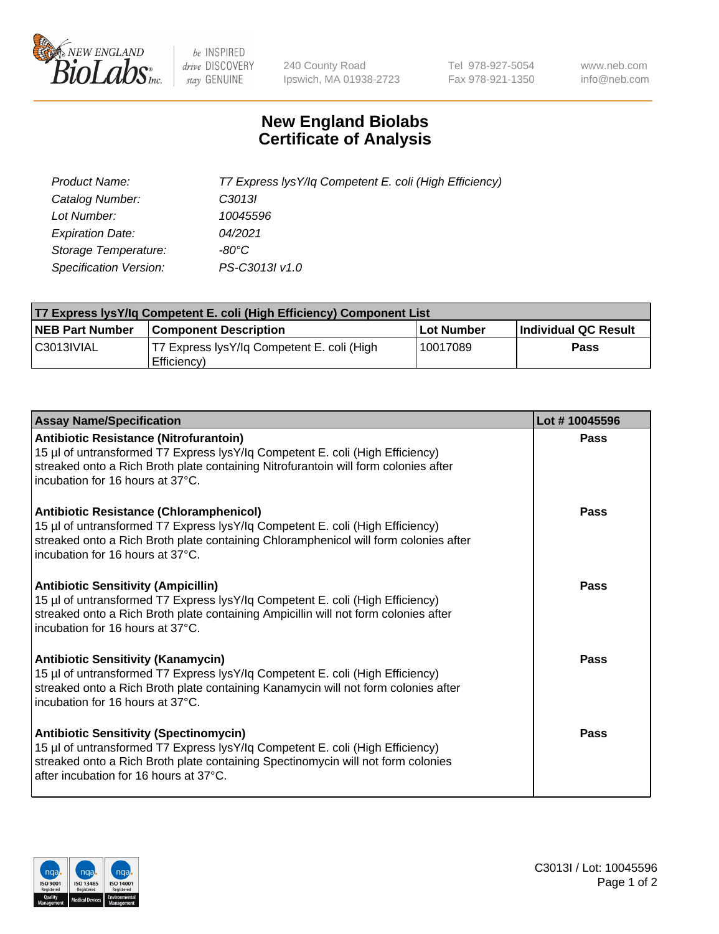

 $be$  INSPIRED drive DISCOVERY stay GENUINE

240 County Road Ipswich, MA 01938-2723 Tel 978-927-5054 Fax 978-921-1350 www.neb.com info@neb.com

## **New England Biolabs Certificate of Analysis**

| Product Name:                 | T7 Express lysY/lq Competent E. coli (High Efficiency) |
|-------------------------------|--------------------------------------------------------|
| Catalog Number:               | C <sub>3013</sub>                                      |
| Lot Number:                   | 10045596                                               |
| <b>Expiration Date:</b>       | 04/2021                                                |
| Storage Temperature:          | -80°C                                                  |
| <b>Specification Version:</b> | PS-C3013I v1.0                                         |

| T7 Express lysY/lq Competent E. coli (High Efficiency) Component List |                                                           |            |                      |  |
|-----------------------------------------------------------------------|-----------------------------------------------------------|------------|----------------------|--|
| <b>NEB Part Number</b>                                                | <b>Component Description</b>                              | Lot Number | Individual QC Result |  |
| C3013IVIAL                                                            | T7 Express lysY/lg Competent E. coli (High<br>Efficiency) | 10017089   | Pass                 |  |

| <b>Assay Name/Specification</b>                                                                                                                                                                                                                               | Lot #10045596 |
|---------------------------------------------------------------------------------------------------------------------------------------------------------------------------------------------------------------------------------------------------------------|---------------|
| Antibiotic Resistance (Nitrofurantoin)<br>15 µl of untransformed T7 Express lysY/lq Competent E. coli (High Efficiency)<br>streaked onto a Rich Broth plate containing Nitrofurantoin will form colonies after<br>incubation for 16 hours at 37°C.            | Pass          |
| <b>Antibiotic Resistance (Chloramphenicol)</b><br>15 µl of untransformed T7 Express lysY/lq Competent E. coli (High Efficiency)<br>streaked onto a Rich Broth plate containing Chloramphenicol will form colonies after<br>l incubation for 16 hours at 37°C. | Pass          |
| <b>Antibiotic Sensitivity (Ampicillin)</b><br>15 µl of untransformed T7 Express lysY/lq Competent E. coli (High Efficiency)<br>streaked onto a Rich Broth plate containing Ampicillin will not form colonies after<br>Incubation for 16 hours at 37°C.        | <b>Pass</b>   |
| <b>Antibiotic Sensitivity (Kanamycin)</b><br>15 µl of untransformed T7 Express lysY/lq Competent E. coli (High Efficiency)<br>streaked onto a Rich Broth plate containing Kanamycin will not form colonies after<br>l incubation for 16 hours at 37°C.        | Pass          |
| <b>Antibiotic Sensitivity (Spectinomycin)</b><br>15 µl of untransformed T7 Express lysY/lq Competent E. coli (High Efficiency)<br>streaked onto a Rich Broth plate containing Spectinomycin will not form colonies<br>after incubation for 16 hours at 37°C.  | Pass          |